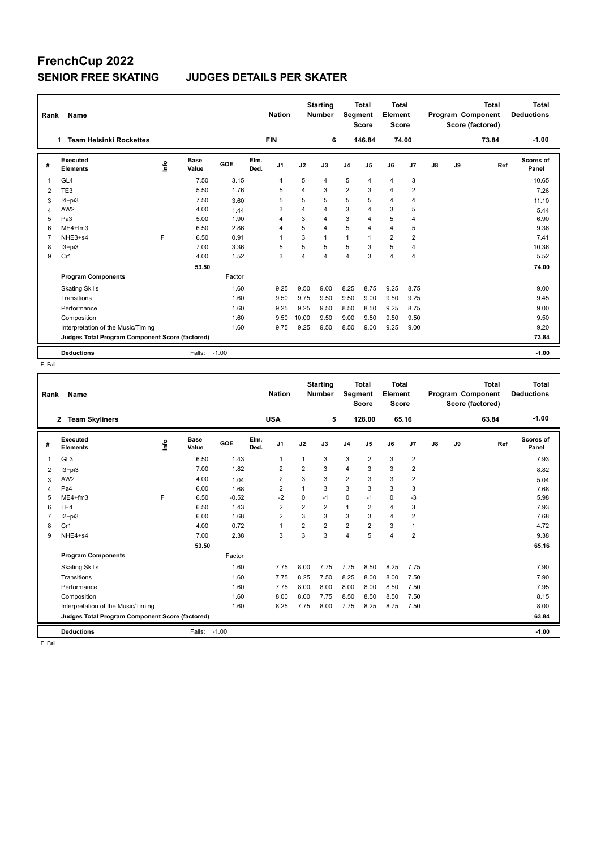# **FrenchCup 2022**

### **SENIOR FREE SKATING JUDGES DETAILS PER SKATER**

| Rank | Name                                            |      |                      |         |              | <b>Nation</b>  |                | <b>Starting</b><br><b>Number</b> | Segment        | <b>Total</b><br><b>Score</b> | <b>Total</b><br>Element<br><b>Score</b> |                |    |    | <b>Total</b><br>Program Component<br>Score (factored) | <b>Total</b><br><b>Deductions</b> |
|------|-------------------------------------------------|------|----------------------|---------|--------------|----------------|----------------|----------------------------------|----------------|------------------------------|-----------------------------------------|----------------|----|----|-------------------------------------------------------|-----------------------------------|
|      | <b>Team Helsinki Rockettes</b>                  |      |                      |         |              | <b>FIN</b>     |                | 6                                |                | 146.84                       |                                         | 74.00          |    |    | 73.84                                                 | $-1.00$                           |
| #    | <b>Executed</b><br><b>Elements</b>              | lnfo | <b>Base</b><br>Value | GOE     | Elm.<br>Ded. | J <sub>1</sub> | J2             | J3                               | J <sub>4</sub> | J <sub>5</sub>               | J6                                      | J7             | J8 | J9 | Ref                                                   | Scores of<br>Panel                |
| 1    | GL <sub>4</sub>                                 |      | 7.50                 | 3.15    |              | 4              | 5              | 4                                | 5              | $\overline{4}$               | $\overline{\mathbf{4}}$                 | 3              |    |    |                                                       | 10.65                             |
| 2    | TE3                                             |      | 5.50                 | 1.76    |              | 5              | 4              | 3                                | $\overline{2}$ | 3                            | $\overline{4}$                          | $\overline{2}$ |    |    |                                                       | 7.26                              |
| 3    | $I4 + pi3$                                      |      | 7.50                 | 3.60    |              | 5              | 5              | 5                                | 5              | 5                            | 4                                       | 4              |    |    |                                                       | 11.10                             |
| 4    | AW <sub>2</sub>                                 |      | 4.00                 | 1.44    |              | 3              | $\overline{4}$ | 4                                | 3              | $\overline{4}$               | 3                                       | 5              |    |    |                                                       | 5.44                              |
| 5    | Pa <sub>3</sub>                                 |      | 5.00                 | 1.90    |              | 4              | 3              | 4                                | 3              | $\overline{4}$               | 5                                       | 4              |    |    |                                                       | 6.90                              |
| 6    | $ME4 + fm3$                                     |      | 6.50                 | 2.86    |              | 4              | 5              | 4                                | 5              | $\overline{4}$               | $\overline{4}$                          | 5              |    |    |                                                       | 9.36                              |
| 7    | NHE3+s4                                         | F    | 6.50                 | 0.91    |              | $\overline{1}$ | 3              | $\mathbf{1}$                     | 1              |                              | $\overline{2}$                          | $\overline{2}$ |    |    |                                                       | 7.41                              |
| 8    | $13 + pi3$                                      |      | 7.00                 | 3.36    |              | 5              | 5              | 5                                | 5              | 3                            | 5                                       | 4              |    |    |                                                       | 10.36                             |
| 9    | Cr1                                             |      | 4.00                 | 1.52    |              | 3              | 4              | 4                                | 4              | 3                            | $\overline{4}$                          | 4              |    |    |                                                       | 5.52                              |
|      |                                                 |      | 53.50                |         |              |                |                |                                  |                |                              |                                         |                |    |    |                                                       | 74.00                             |
|      | <b>Program Components</b>                       |      |                      | Factor  |              |                |                |                                  |                |                              |                                         |                |    |    |                                                       |                                   |
|      | <b>Skating Skills</b>                           |      |                      | 1.60    |              | 9.25           | 9.50           | 9.00                             | 8.25           | 8.75                         | 9.25                                    | 8.75           |    |    |                                                       | 9.00                              |
|      | Transitions                                     |      |                      | 1.60    |              | 9.50           | 9.75           | 9.50                             | 9.50           | 9.00                         | 9.50                                    | 9.25           |    |    |                                                       | 9.45                              |
|      | Performance                                     |      |                      | 1.60    |              | 9.25           | 9.25           | 9.50                             | 8.50           | 8.50                         | 9.25                                    | 8.75           |    |    |                                                       | 9.00                              |
|      | Composition                                     |      |                      | 1.60    |              | 9.50           | 10.00          | 9.50                             | 9.00           | 9.50                         | 9.50                                    | 9.50           |    |    |                                                       | 9.50                              |
|      | Interpretation of the Music/Timing              |      |                      | 1.60    |              | 9.75           | 9.25           | 9.50                             | 8.50           | 9.00                         | 9.25                                    | 9.00           |    |    |                                                       | 9.20                              |
|      | Judges Total Program Component Score (factored) |      |                      |         |              |                |                |                                  |                |                              |                                         |                |    |    |                                                       | 73.84                             |
|      | <b>Deductions</b>                               |      | Falls:               | $-1.00$ |              |                |                |                                  |                |                              |                                         |                |    |    |                                                       | $-1.00$                           |

F Fall

| Rank           | Name                                            |      |                      |         |              | <b>Nation</b>  |                | <b>Starting</b><br><b>Number</b> | <b>Segment</b> | <b>Total</b><br><b>Score</b> | <b>Total</b><br>Element<br><b>Score</b> |                |               |    | <b>Total</b><br>Program Component<br>Score (factored) | <b>Total</b><br><b>Deductions</b> |
|----------------|-------------------------------------------------|------|----------------------|---------|--------------|----------------|----------------|----------------------------------|----------------|------------------------------|-----------------------------------------|----------------|---------------|----|-------------------------------------------------------|-----------------------------------|
|                | <b>Team Skyliners</b><br>$\mathbf{2}$           |      |                      |         |              | <b>USA</b>     |                | 5                                |                | 128.00                       | 65.16                                   |                |               |    | 63.84                                                 | $-1.00$                           |
| #              | Executed<br><b>Elements</b>                     | lnfo | <b>Base</b><br>Value | GOE     | Elm.<br>Ded. | J <sub>1</sub> | J2             | J3                               | J <sub>4</sub> | J <sub>5</sub>               | J6                                      | J <sub>7</sub> | $\mathsf{J}8$ | J9 | Ref                                                   | Scores of<br>Panel                |
| 1              | GL <sub>3</sub>                                 |      | 6.50                 | 1.43    |              | $\mathbf{1}$   | 1              | 3                                | 3              | $\overline{2}$               | 3                                       | $\overline{2}$ |               |    |                                                       | 7.93                              |
| 2              | $13 + pi3$                                      |      | 7.00                 | 1.82    |              | $\overline{2}$ | $\overline{2}$ | 3                                | $\overline{4}$ | 3                            | 3                                       | $\overline{2}$ |               |    |                                                       | 8.82                              |
| 3              | AW <sub>2</sub>                                 |      | 4.00                 | 1.04    |              | $\overline{2}$ | 3              | 3                                | $\overline{2}$ | 3                            | 3                                       | $\overline{2}$ |               |    |                                                       | 5.04                              |
| $\overline{4}$ | Pa4                                             |      | 6.00                 | 1.68    |              | $\overline{2}$ | $\overline{1}$ | 3                                | 3              | 3                            | 3                                       | 3              |               |    |                                                       | 7.68                              |
| 5              | $ME4 + fm3$                                     | F    | 6.50                 | $-0.52$ |              | $-2$           | 0              | $-1$                             | $\mathbf 0$    | $-1$                         | 0                                       | $-3$           |               |    |                                                       | 5.98                              |
| 6              | TE4                                             |      | 6.50                 | 1.43    |              | $\overline{2}$ | $\overline{2}$ | $\overline{2}$                   | $\mathbf{1}$   | $\overline{2}$               | 4                                       | 3              |               |    |                                                       | 7.93                              |
| $\overline{7}$ | $12 + pi3$                                      |      | 6.00                 | 1.68    |              | $\overline{2}$ | 3              | 3                                | 3              | 3                            | 4                                       | $\overline{2}$ |               |    |                                                       | 7.68                              |
| 8              | Cr1                                             |      | 4.00                 | 0.72    |              | $\overline{1}$ | $\overline{2}$ | $\overline{2}$                   | $\overline{2}$ | $\overline{2}$               | 3                                       | $\overline{1}$ |               |    |                                                       | 4.72                              |
| 9              | NHE4+s4                                         |      | 7.00                 | 2.38    |              | 3              | 3              | 3                                | 4              | 5                            | 4                                       | $\overline{2}$ |               |    |                                                       | 9.38                              |
|                |                                                 |      | 53.50                |         |              |                |                |                                  |                |                              |                                         |                |               |    |                                                       | 65.16                             |
|                | <b>Program Components</b>                       |      |                      | Factor  |              |                |                |                                  |                |                              |                                         |                |               |    |                                                       |                                   |
|                | <b>Skating Skills</b>                           |      |                      | 1.60    |              | 7.75           | 8.00           | 7.75                             | 7.75           | 8.50                         | 8.25                                    | 7.75           |               |    |                                                       | 7.90                              |
|                | Transitions                                     |      |                      | 1.60    |              | 7.75           | 8.25           | 7.50                             | 8.25           | 8.00                         | 8.00                                    | 7.50           |               |    |                                                       | 7.90                              |
|                | Performance                                     |      |                      | 1.60    |              | 7.75           | 8.00           | 8.00                             | 8.00           | 8.00                         | 8.50                                    | 7.50           |               |    |                                                       | 7.95                              |
|                | Composition                                     |      |                      | 1.60    |              | 8.00           | 8.00           | 7.75                             | 8.50           | 8.50                         | 8.50                                    | 7.50           |               |    |                                                       | 8.15                              |
|                | Interpretation of the Music/Timing              |      |                      | 1.60    |              | 8.25           | 7.75           | 8.00                             | 7.75           | 8.25                         | 8.75                                    | 7.50           |               |    |                                                       | 8.00                              |
|                | Judges Total Program Component Score (factored) |      |                      |         |              |                |                |                                  |                |                              |                                         |                |               |    |                                                       | 63.84                             |
|                | <b>Deductions</b>                               |      | Falls:               | $-1.00$ |              |                |                |                                  |                |                              |                                         |                |               |    |                                                       | $-1.00$                           |

F Fall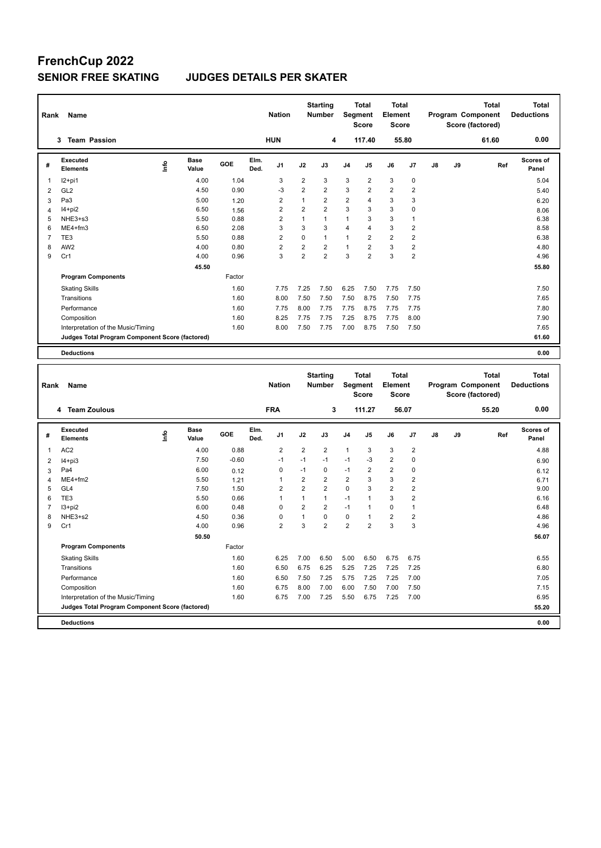# **FrenchCup 2022**

### **SENIOR FREE SKATING JUDGES DETAILS PER SKATER**

| Rank             | Name                                                  |                                      |             | <b>Nation</b>                        |                | <b>Starting</b><br><b>Number</b> |                    | <b>Total</b><br><b>Segment</b><br><b>Score</b> | <b>Total</b><br>Element<br><b>Score</b> |                      |    |    | <b>Total</b><br>Program Component<br>Score (factored) | <b>Total</b><br><b>Deductions</b> |
|------------------|-------------------------------------------------------|--------------------------------------|-------------|--------------------------------------|----------------|----------------------------------|--------------------|------------------------------------------------|-----------------------------------------|----------------------|----|----|-------------------------------------------------------|-----------------------------------|
|                  | <b>Team Passion</b><br>3                              |                                      |             | <b>HUN</b>                           |                | 4                                |                    | 117.40                                         |                                         | 55.80                |    |    | 61.60                                                 | 0.00                              |
| #                | <b>Executed</b><br><b>Elements</b>                    | Base<br>lnfo<br>Value                | GOE         | Elm.<br>J1<br>Ded.                   | J2             | J3                               | J <sub>4</sub>     | J <sub>5</sub>                                 | J6                                      | J7                   | J8 | J9 | Ref                                                   | Scores of<br>Panel                |
| $\overline{1}$   | $12+pi1$                                              | 4.00                                 | 1.04        | 3                                    | 2              | 3                                | 3                  | $\overline{2}$                                 | 3                                       | 0                    |    |    |                                                       | 5.04                              |
| $\overline{2}$   | GL <sub>2</sub>                                       | 4.50                                 | 0.90        | $-3$                                 | $\overline{2}$ | $\overline{2}$                   | 3                  | $\overline{2}$                                 | $\overline{2}$                          | $\overline{2}$       |    |    |                                                       | 5.40                              |
| 3                | Pa <sub>3</sub>                                       | 5.00                                 | 1.20        | 2                                    | 1              | $\overline{2}$                   | 2                  | 4                                              | 3                                       | 3                    |    |    |                                                       | 6.20                              |
| $\overline{4}$   | $I4+pi2$                                              | 6.50                                 | 1.56        | 2                                    | $\overline{2}$ | $\overline{2}$                   | 3                  | 3                                              | 3                                       | 0                    |    |    |                                                       | 8.06                              |
| 5                | NHE3+s3                                               | 5.50                                 | 0.88        | $\overline{2}$                       | $\mathbf{1}$   | $\mathbf{1}$                     | $\mathbf{1}$       | 3                                              | 3                                       | 1                    |    |    |                                                       | 6.38                              |
| 6                | $ME4 + fm3$                                           | 6.50                                 | 2.08        | 3                                    | 3              | 3                                | 4                  | 4                                              | 3                                       | $\overline{2}$       |    |    |                                                       | 8.58                              |
| $\overline{7}$   | TE3                                                   | 5.50                                 | 0.88        | $\overline{2}$                       | 0              | $\mathbf{1}$                     | $\mathbf{1}$       | $\overline{2}$                                 | $\overline{2}$                          | $\overline{2}$       |    |    |                                                       | 6.38                              |
| 8                | AW <sub>2</sub>                                       | 4.00                                 | 0.80        | $\overline{2}$                       | $\overline{2}$ | $\overline{2}$                   | 1                  | 2                                              | 3                                       | $\overline{2}$       |    |    |                                                       | 4.80                              |
| 9                | Cr1                                                   | 4.00                                 | 0.96        | 3                                    | $\overline{2}$ | $\overline{2}$                   | 3                  | $\overline{2}$                                 | 3                                       | $\overline{2}$       |    |    |                                                       | 4.96                              |
|                  |                                                       | 45.50                                |             |                                      |                |                                  |                    |                                                |                                         |                      |    |    |                                                       | 55.80                             |
|                  | <b>Program Components</b>                             |                                      | Factor      |                                      |                |                                  |                    |                                                |                                         |                      |    |    |                                                       |                                   |
|                  | <b>Skating Skills</b>                                 |                                      | 1.60        | 7.75                                 | 7.25           | 7.50                             | 6.25               | 7.50                                           | 7.75                                    | 7.50                 |    |    |                                                       | 7.50                              |
|                  | Transitions                                           |                                      | 1.60        | 8.00                                 | 7.50           | 7.50                             | 7.50               | 8.75                                           | 7.50                                    | 7.75                 |    |    |                                                       | 7.65                              |
|                  | Performance                                           |                                      | 1.60        | 7.75                                 | 8.00           | 7.75                             | 7.75               | 8.75                                           | 7.75                                    | 7.75                 |    |    |                                                       | 7.80                              |
|                  | Composition                                           |                                      | 1.60        | 8.25                                 | 7.75           | 7.75                             | 7.25               | 8.75                                           | 7.75                                    | 8.00                 |    |    |                                                       | 7.90                              |
|                  | Interpretation of the Music/Timing                    |                                      | 1.60        | 8.00                                 | 7.50           | 7.75                             | 7.00               | 8.75                                           | 7.50                                    | 7.50                 |    |    |                                                       | 7.65                              |
|                  | Judges Total Program Component Score (factored)       |                                      |             |                                      |                |                                  |                    |                                                |                                         |                      |    |    |                                                       | 61.60                             |
|                  |                                                       |                                      |             |                                      |                |                                  |                    |                                                |                                         |                      |    |    |                                                       |                                   |
|                  | <b>Deductions</b>                                     |                                      |             |                                      |                |                                  |                    |                                                |                                         |                      |    |    |                                                       | 0.00                              |
|                  |                                                       |                                      |             |                                      |                |                                  |                    |                                                |                                         |                      |    |    |                                                       |                                   |
| Rank             | Name                                                  |                                      |             | <b>Nation</b>                        |                | <b>Starting</b><br><b>Number</b> |                    | <b>Total</b><br><b>Segment</b><br><b>Score</b> | <b>Total</b><br>Element<br>Score        |                      |    |    | <b>Total</b><br>Program Component<br>Score (factored) | <b>Total</b><br><b>Deductions</b> |
|                  | <b>Team Zoulous</b><br>4                              |                                      |             | <b>FRA</b>                           |                | 3                                |                    | 111.27                                         |                                         | 56.07                |    |    | 55.20                                                 | 0.00                              |
| #<br>$\mathbf 1$ | <b>Executed</b><br><b>Elements</b><br>AC <sub>2</sub> | <b>Base</b><br>lnfo<br>Value<br>4.00 | GOE<br>0.88 | Elm.<br>J1<br>Ded.<br>$\overline{2}$ | J2<br>2        | J3<br>$\overline{2}$             | J4<br>$\mathbf{1}$ | J5<br>3                                        | J6<br>3                                 | J7<br>$\overline{2}$ | J8 | J9 | Ref                                                   | <b>Scores of</b><br>Panel<br>4.88 |

|   | --------                                        | "     |         |                |                |                |                |      |                |                | $\cdots$ |  |
|---|-------------------------------------------------|-------|---------|----------------|----------------|----------------|----------------|------|----------------|----------------|----------|--|
|   | AC <sub>2</sub>                                 | 4.00  | 0.88    | $\overline{2}$ | $\overline{2}$ | $\overline{2}$ |                | 3    | 3              | $\overline{2}$ | 4.88     |  |
| 2 | $I4 + pi3$                                      | 7.50  | $-0.60$ | $-1$           | $-1$           | $-1$           | $-1$           | $-3$ | 2              | 0              | 6.90     |  |
| 3 | Pa4                                             | 6.00  | 0.12    | 0              | $-1$           | 0              | $-1$           | 2    | 2              | 0              | 6.12     |  |
| 4 | $ME4+fm2$                                       | 5.50  | 1.21    |                | 2              | $\overline{2}$ | $\overline{2}$ | 3    | 3              | $\overline{2}$ | 6.71     |  |
| 5 | GL <sub>4</sub>                                 | 7.50  | 1.50    | 2              | $\overline{2}$ | $\overline{2}$ | 0              | 3    | $\overline{2}$ | 2              | 9.00     |  |
| 6 | TE3                                             | 5.50  | 0.66    |                |                | $\mathbf 1$    | $-1$           | 1    | 3              | $\overline{2}$ | 6.16     |  |
|   | $13 + pi2$                                      | 6.00  | 0.48    | 0              | 2              | $\overline{2}$ | $-1$           | 1    | 0              |                | 6.48     |  |
| 8 | NHE3+s2                                         | 4.50  | 0.36    | 0              |                | $\Omega$       | 0              | 1    | $\overline{2}$ | $\overline{2}$ | 4.86     |  |
| 9 | Cr1                                             | 4.00  | 0.96    | $\overline{2}$ | 3              | $\overline{2}$ | $\overline{2}$ | 2    | 3              | 3              | 4.96     |  |
|   |                                                 | 50.50 |         |                |                |                |                |      |                |                | 56.07    |  |
|   | <b>Program Components</b>                       |       | Factor  |                |                |                |                |      |                |                |          |  |
|   | <b>Skating Skills</b>                           |       | 1.60    | 6.25           | 7.00           | 6.50           | 5.00           | 6.50 | 6.75           | 6.75           | 6.55     |  |
|   | Transitions                                     |       | 1.60    | 6.50           | 6.75           | 6.25           | 5.25           | 7.25 | 7.25           | 7.25           | 6.80     |  |
|   | Performance                                     |       | 1.60    | 6.50           | 7.50           | 7.25           | 5.75           | 7.25 | 7.25           | 7.00           | 7.05     |  |
|   | Composition                                     |       | 1.60    | 6.75           | 8.00           | 7.00           | 6.00           | 7.50 | 7.00           | 7.50           | 7.15     |  |
|   | Interpretation of the Music/Timing              |       | 1.60    | 6.75           | 7.00           | 7.25           | 5.50           | 6.75 | 7.25           | 7.00           | 6.95     |  |
|   | Judges Total Program Component Score (factored) |       |         |                |                |                |                |      |                |                | 55.20    |  |
|   | <b>Deductions</b>                               |       |         |                |                |                |                |      |                |                | 0.00     |  |